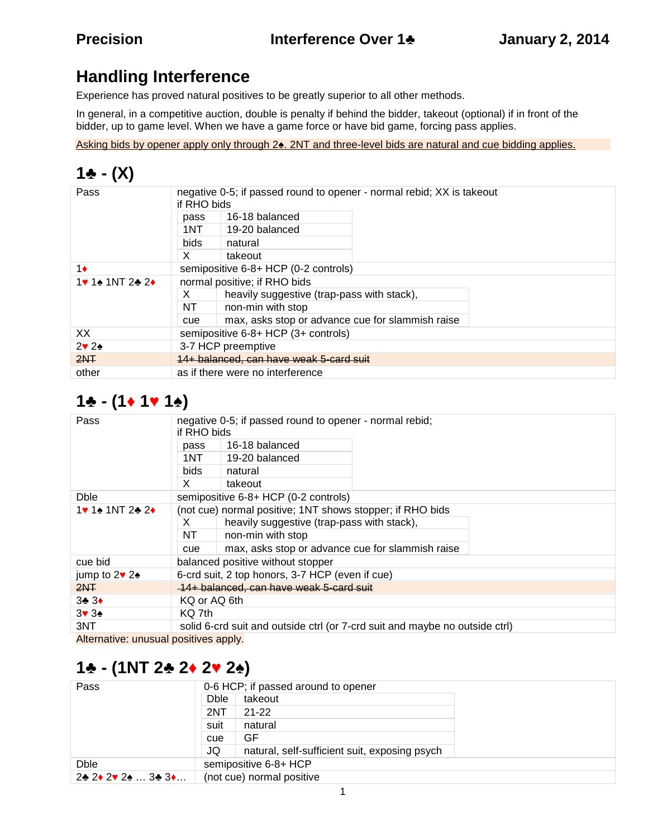## **Handling Interference**

Experience has proved natural positives to be greatly superior to all other methods.

In general, in a competitive auction, double is penalty if behind the bidder, takeout (optional) if in front of the bidder, up to game level. When we have a game force or have bid game, forcing pass applies.

Asking bids by opener apply only through 2 . 2NT and three-level bids are natural and cue bidding applies.

#### 1  $- (X)$

| Pass           | negative 0-5; if passed round to opener - normal rebid; XX is takeout<br>if RHO bids |                                                  |  |  |
|----------------|--------------------------------------------------------------------------------------|--------------------------------------------------|--|--|
|                | pass                                                                                 | 16-18 balanced                                   |  |  |
|                | 1NT .                                                                                | 19-20 balanced                                   |  |  |
|                | <b>bids</b>                                                                          | natural                                          |  |  |
|                | X                                                                                    | takeout                                          |  |  |
|                |                                                                                      | semipositive 6-8+ HCP (0-2 controls)             |  |  |
| 1NT22          | normal positive; if RHO bids                                                         |                                                  |  |  |
|                | X                                                                                    | heavily suggestive (trap-pass with stack),       |  |  |
|                | NT                                                                                   | non-min with stop                                |  |  |
|                | cue                                                                                  | max, asks stop or advance cue for slammish raise |  |  |
| XX.            | semipositive 6-8+ HCP (3+ controls)                                                  |                                                  |  |  |
| 2 <sub>2</sub> | 3-7 HCP preemptive                                                                   |                                                  |  |  |
| 2NF            | 14+ balanced, can have weak 5-card suit                                              |                                                  |  |  |
| other          | as if there were no interference                                                     |                                                  |  |  |

## **1 - (1 1 1 )**

| Pass                      | if RHO bids                                                                 | negative 0-5; if passed round to opener - normal rebid; |  |  |
|---------------------------|-----------------------------------------------------------------------------|---------------------------------------------------------|--|--|
|                           | pass                                                                        | 16-18 balanced                                          |  |  |
|                           | 1NT.                                                                        | 19-20 balanced                                          |  |  |
|                           | bids.                                                                       | natural                                                 |  |  |
|                           | X.                                                                          | takeout                                                 |  |  |
| <b>Dble</b>               | semipositive 6-8+ HCP (0-2 controls)                                        |                                                         |  |  |
| $1NT2$ 2<br>1             | (not cue) normal positive; 1NT shows stopper; if RHO bids                   |                                                         |  |  |
|                           | X.                                                                          | heavily suggestive (trap-pass with stack),              |  |  |
|                           | NT                                                                          | non-min with stop                                       |  |  |
|                           | cue                                                                         | max, asks stop or advance cue for slammish raise        |  |  |
| cue bid                   | balanced positive without stopper                                           |                                                         |  |  |
| jump to 2 2               | 6-crd suit, 2 top honors, 3-7 HCP (even if cue)                             |                                                         |  |  |
| 2NF                       | 14+ balanced, can have weak 5-card suit                                     |                                                         |  |  |
| 3 <sub>3</sub>            | KQ or AQ 6th                                                                |                                                         |  |  |
| 3 <sub>3</sub>            | KQ 7th                                                                      |                                                         |  |  |
| 3NT                       | solid 6-crd suit and outside ctrl (or 7-crd suit and maybe no outside ctrl) |                                                         |  |  |
| Altana ath is concerned a |                                                                             |                                                         |  |  |

Alternative: unusual positives apply.

## **1 - (1NT 2 2 2 2 )**

| Pass                                 | 0-6 HCP; if passed around to opener |                                               |  |  |
|--------------------------------------|-------------------------------------|-----------------------------------------------|--|--|
|                                      | Dble                                | takeout                                       |  |  |
|                                      | 2NT                                 | 21-22                                         |  |  |
|                                      | suit                                | natural                                       |  |  |
|                                      | cue                                 | GF                                            |  |  |
|                                      | JQ                                  | natural, self-sufficient suit, exposing psych |  |  |
| semipositive 6-8+ HCP<br><b>Dble</b> |                                     |                                               |  |  |
| 2 2 2 2  3 3                         | (not cue) normal positive           |                                               |  |  |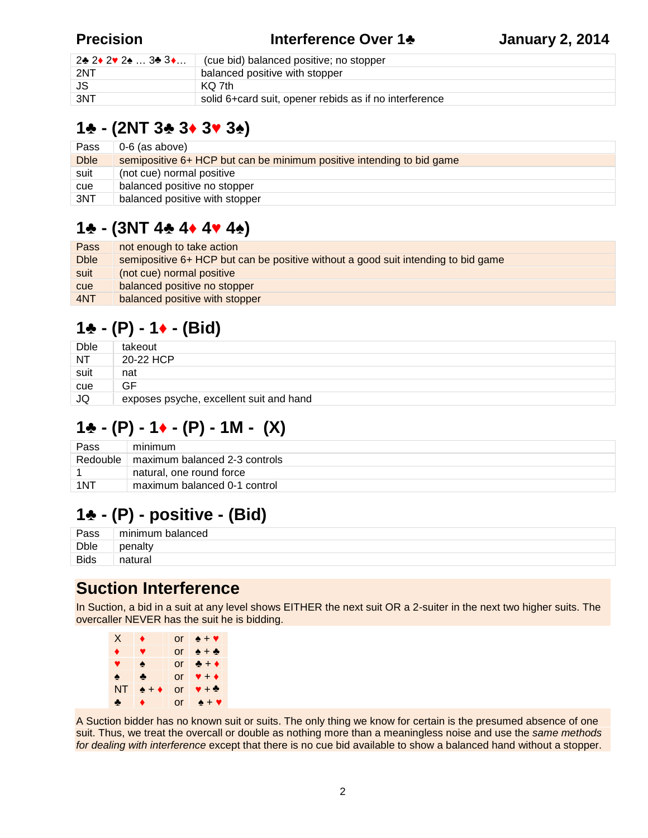#### **Precision Interference Over 1 January 2, 2014**

| 2 2 2 2  3 3 | cue bid) balanced positive; no stopper                 |
|--------------|--------------------------------------------------------|
| 2NT          | balanced positive with stopper                         |
| JS.          | KO 7th                                                 |
| 3NT          | solid 6+card suit, opener rebids as if no interference |

#### **1 - (2NT 3 3 3 3 )**

| Pass        | 0-6 (as above)                                                        |
|-------------|-----------------------------------------------------------------------|
| <b>Dble</b> | semipositive 6+ HCP but can be minimum positive intending to bid game |
| suit        | (not cue) normal positive                                             |
| cue         | balanced positive no stopper                                          |
| 3NT         | balanced positive with stopper                                        |

## **1 - (3NT 4 4 4 4 )**

| Pass        | not enough to take action                                                         |
|-------------|-----------------------------------------------------------------------------------|
| <b>Dble</b> | semipositive 6+ HCP but can be positive without a good suit intending to bid game |
| suit        | (not cue) normal positive                                                         |
| <b>cue</b>  | balanced positive no stopper                                                      |
| 4NT         | balanced positive with stopper                                                    |
|             |                                                                                   |

# **1 - (P) - 1 - (Bid)**

| <b>Dble</b> | takeout                                 |
|-------------|-----------------------------------------|
| <b>NT</b>   | 20-22 HCP                               |
| suit        | nat                                     |
| cue         | GF                                      |
| JQ          | exposes psyche, excellent suit and hand |

## **1 - (P) - 1 - (P) - 1M - (X)**

| Pass     | minimum                       |
|----------|-------------------------------|
| Redouble | maximum balanced 2-3 controls |
|          | natural, one round force      |
| 1NT      | maximum balanced 0-1 control  |

## **1 - (P) - positive - (Bid)**

| Pass        | minimum balanced |
|-------------|------------------|
| Dble        | penalty          |
| <b>Bids</b> | ∵ra∟<br>nat      |

#### **Suction Interference**

In Suction, a bid in a suit at any level shows EITHER the next suit OR a 2-suiter in the next two higher suits. The overcaller NEVER has the suit he is bidding.

|           | or | $\ddot{}$ |
|-----------|----|-----------|
|           | or | +         |
|           | or | $\ddot{}$ |
|           | or | $\ddot{}$ |
| <b>NT</b> | or | +         |
|           | or |           |

A Suction bidder has no known suit or suits. The only thing we know for certain is the presumed absence of one suit. Thus, we treat the overcall or double as nothing more than a meaningless noise and use the *same methods for dealing with interference* except that there is no cue bid available to show a balanced hand without a stopper.